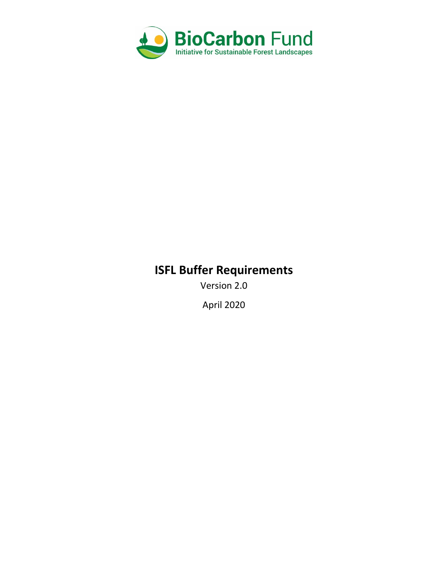

# **ISFL Buffer Requirements**

Version 2.0

April 2020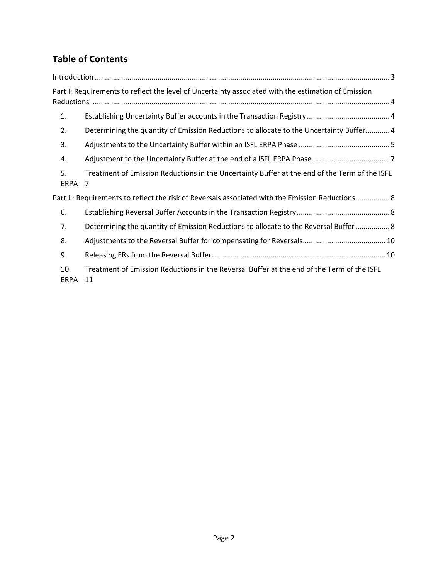## **Table of Contents**

|             | Part I: Requirements to reflect the level of Uncertainty associated with the estimation of Emission |
|-------------|-----------------------------------------------------------------------------------------------------|
| 1.          |                                                                                                     |
| 2.          | Determining the quantity of Emission Reductions to allocate to the Uncertainty Buffer4              |
| 3.          |                                                                                                     |
| 4.          |                                                                                                     |
| 5.<br>ERPA  | Treatment of Emission Reductions in the Uncertainty Buffer at the end of the Term of the ISFL<br>7  |
|             | Part II: Requirements to reflect the risk of Reversals associated with the Emission Reductions 8    |
| 6.          |                                                                                                     |
| 7.          | Determining the quantity of Emission Reductions to allocate to the Reversal Buffer 8                |
| 8.          |                                                                                                     |
| 9.          |                                                                                                     |
| 10.<br>ERPA | Treatment of Emission Reductions in the Reversal Buffer at the end of the Term of the ISFL<br>11    |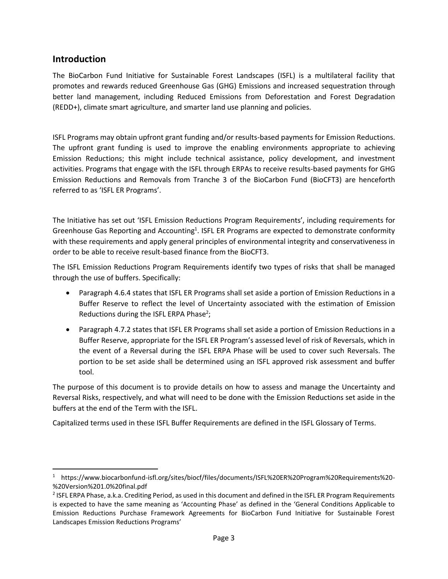## <span id="page-2-0"></span>**Introduction**

The BioCarbon Fund Initiative for Sustainable Forest Landscapes (ISFL) is a multilateral facility that promotes and rewards reduced Greenhouse Gas (GHG) Emissions and increased sequestration through better land management, including Reduced Emissions from Deforestation and Forest Degradation (REDD+), climate smart agriculture, and smarter land use planning and policies.

ISFL Programs may obtain upfront grant funding and/or results-based payments for Emission Reductions. The upfront grant funding is used to improve the enabling environments appropriate to achieving Emission Reductions; this might include technical assistance, policy development, and investment activities. Programs that engage with the ISFL through ERPAs to receive results-based payments for GHG Emission Reductions and Removals from Tranche 3 of the BioCarbon Fund (BioCFT3) are henceforth referred to as 'ISFL ER Programs'.

The Initiative has set out 'ISFL Emission Reductions Program Requirements', including requirements for Greenhouse Gas Reporting and Accounting<sup>1</sup>. ISFL ER Programs are expected to demonstrate conformity with these requirements and apply general principles of environmental integrity and conservativeness in order to be able to receive result-based finance from the BioCFT3.

The ISFL Emission Reductions Program Requirements identify two types of risks that shall be managed through the use of buffers. Specifically:

- Paragraph 4.6.4 states that ISFL ER Programs shall set aside a portion of Emission Reductions in a Buffer Reserve to reflect the level of Uncertainty associated with the estimation of Emission Reductions during the ISFL ERPA Phase<sup>2</sup>;
- Paragraph 4.7.2 states that ISFL ER Programs shall set aside a portion of Emission Reductions in a Buffer Reserve, appropriate for the ISFL ER Program's assessed level of risk of Reversals, which in the event of a Reversal during the ISFL ERPA Phase will be used to cover such Reversals. The portion to be set aside shall be determined using an ISFL approved risk assessment and buffer tool.

The purpose of this document is to provide details on how to assess and manage the Uncertainty and Reversal Risks, respectively, and what will need to be done with the Emission Reductions set aside in the buffers at the end of the Term with the ISFL.

Capitalized terms used in these ISFL Buffer Requirements are defined in the ISFL Glossary of Terms.

<sup>1</sup> https://www.biocarbonfund-isfl.org/sites/biocf/files/documents/ISFL%20ER%20Program%20Requirements%20- %20Version%201.0%20final.pdf

 $2$  ISFL ERPA Phase, a.k.a. Crediting Period, as used in this document and defined in the ISFL ER Program Requirements is expected to have the same meaning as 'Accounting Phase' as defined in the 'General Conditions Applicable to Emission Reductions Purchase Framework Agreements for BioCarbon Fund Initiative for Sustainable Forest Landscapes Emission Reductions Programs'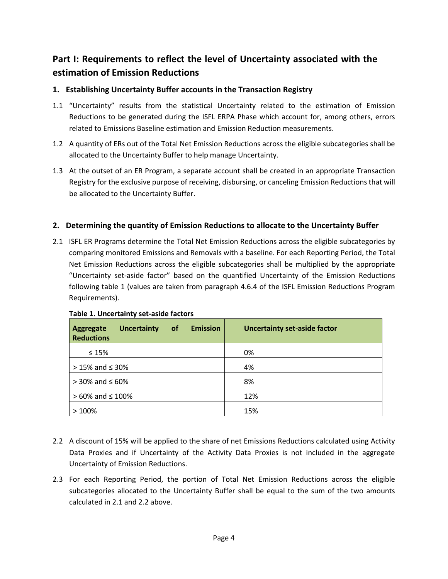## <span id="page-3-0"></span>**Part I: Requirements to reflect the level of Uncertainty associated with the estimation of Emission Reductions**

## <span id="page-3-1"></span>**1. Establishing Uncertainty Buffer accounts in the Transaction Registry**

- 1.1 "Uncertainty" results from the statistical Uncertainty related to the estimation of Emission Reductions to be generated during the ISFL ERPA Phase which account for, among others, errors related to Emissions Baseline estimation and Emission Reduction measurements.
- 1.2 A quantity of ERs out of the Total Net Emission Reductions across the eligible subcategories shall be allocated to the Uncertainty Buffer to help manage Uncertainty.
- 1.3 At the outset of an ER Program, a separate account shall be created in an appropriate Transaction Registry for the exclusive purpose of receiving, disbursing, or canceling Emission Reductions that will be allocated to the Uncertainty Buffer.

### <span id="page-3-2"></span>**2. Determining the quantity of Emission Reductions to allocate to the Uncertainty Buffer**

2.1 ISFL ER Programs determine the Total Net Emission Reductions across the eligible subcategories by comparing monitored Emissions and Removals with a baseline. For each Reporting Period, the Total Net Emission Reductions across the eligible subcategories shall be multiplied by the appropriate "Uncertainty set-aside factor" based on the quantified Uncertainty of the Emission Reductions following table 1 (values are taken from paragraph 4.6.4 of the ISFL Emission Reductions Program Requirements).

| <b>Emission</b><br><b>of</b><br><b>Uncertainty</b><br><b>Aggregate</b><br><b>Reductions</b> | <b>Uncertainty set-aside factor</b> |
|---------------------------------------------------------------------------------------------|-------------------------------------|
| $\leq 15\%$                                                                                 | 0%                                  |
| $> 15\%$ and $\leq 30\%$                                                                    | 4%                                  |
| $>$ 30% and $\leq$ 60%                                                                      | 8%                                  |
| $> 60\%$ and $\leq 100\%$                                                                   | 12%                                 |
| >100%                                                                                       | 15%                                 |

#### <span id="page-3-3"></span>**Table 1. Uncertainty set-aside factors**

- 2.2 A discount of 15% will be applied to the share of net Emissions Reductions calculated using Activity Data Proxies and if Uncertainty of the Activity Data Proxies is not included in the aggregate Uncertainty of Emission Reductions.
- 2.3 For each Reporting Period, the portion of Total Net Emission Reductions across the eligible subcategories allocated to the Uncertainty Buffer shall be equal to the sum of the two amounts calculated in 2.1 and 2.2 above.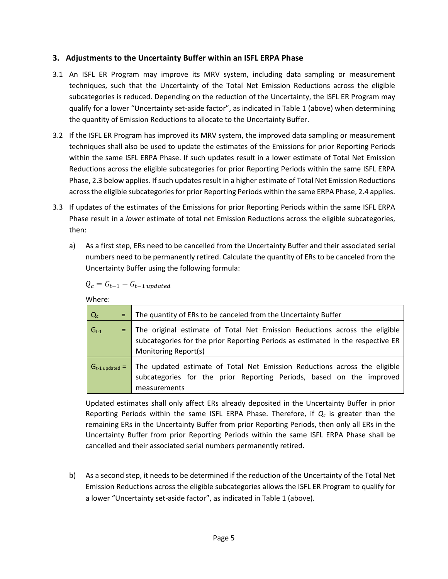### <span id="page-4-0"></span>**3. Adjustments to the Uncertainty Buffer within an ISFL ERPA Phase**

- 3.1 An ISFL ER Program may improve its MRV system, including data sampling or measurement techniques, such that the Uncertainty of the Total Net Emission Reductions across the eligible subcategories is reduced. Depending on the reduction of the Uncertainty, the ISFL ER Program may qualify for a lower "Uncertainty set-aside factor", as indicated in [Table 1](#page-3-3) (above) when determining the quantity of Emission Reductions to allocate to the Uncertainty Buffer.
- 3.2 If the ISFL ER Program has improved its MRV system, the improved data sampling or measurement techniques shall also be used to update the estimates of the Emissions for prior Reporting Periods within the same ISFL ERPA Phase. If such updates result in a lower estimate of Total Net Emission Reductions across the eligible subcategories for prior Reporting Periods within the same ISFL ERPA Phase, 2.3 below applies. If such updates result in a higher estimate of Total Net Emission Reductions across the eligible subcategories for prior Reporting Periods within the same ERPA Phase, 2.4 applies.
- 3.3 If updates of the estimates of the Emissions for prior Reporting Periods within the same ISFL ERPA Phase result in a *lower* estimate of total net Emission Reductions across the eligible subcategories, then:
	- a) As a first step, ERs need to be cancelled from the Uncertainty Buffer and their associated serial numbers need to be permanently retired. Calculate the quantity of ERs to be canceled from the Uncertainty Buffer using the following formula:

$$
Q_c = G_{t-1} - G_{t-1 \, updated}
$$

Where:

| $Q_c$<br>$=$          | The quantity of ERs to be canceled from the Uncertainty Buffer                                                                                                                        |
|-----------------------|---------------------------------------------------------------------------------------------------------------------------------------------------------------------------------------|
| $G_{t-1}$             | The original estimate of Total Net Emission Reductions across the eligible<br>subcategories for the prior Reporting Periods as estimated in the respective ER<br>Monitoring Report(s) |
| $G_{t-1}$ updated $=$ | The updated estimate of Total Net Emission Reductions across the eligible<br>subcategories for the prior Reporting Periods, based on the improved<br>measurements                     |

Updated estimates shall only affect ERs already deposited in the Uncertainty Buffer in prior Reporting Periods within the same ISFL ERPA Phase. Therefore, if *Q<sup>c</sup>* is greater than the remaining ERs in the Uncertainty Buffer from prior Reporting Periods, then only all ERs in the Uncertainty Buffer from prior Reporting Periods within the same ISFL ERPA Phase shall be cancelled and their associated serial numbers permanently retired.

b) As a second step, it needs to be determined if the reduction of the Uncertainty of the Total Net Emission Reductions across the eligible subcategories allows the ISFL ER Program to qualify for a lower "Uncertainty set-aside factor", as indicated in Table 1 (above).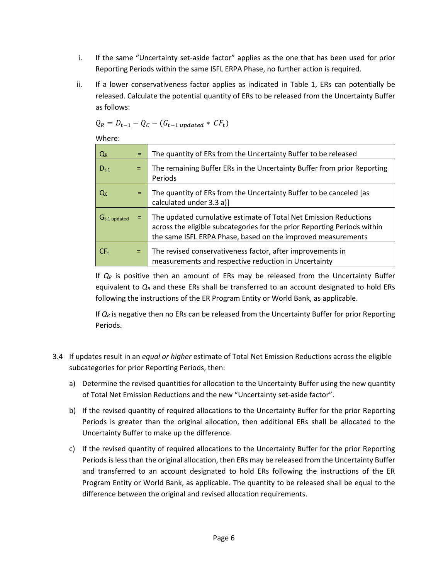- i. If the same "Uncertainty set-aside factor" applies as the one that has been used for prior Reporting Periods within the same ISFL ERPA Phase, no further action is required.
- ii. If a lower conservativeness factor applies as indicated in Table 1, ERs can potentially be released. Calculate the potential quantity of ERs to be released from the Uncertainty Buffer as follows:

$$
Q_R = D_{t-1} - Q_C - (G_{t-1 \text{ updated}} * CF_t)
$$

Where:

| $Q_R$             | $=$ | The quantity of ERs from the Uncertainty Buffer to be released                                                                                                                                               |
|-------------------|-----|--------------------------------------------------------------------------------------------------------------------------------------------------------------------------------------------------------------|
| $D_{t-1}$         |     | The remaining Buffer ERs in the Uncertainty Buffer from prior Reporting<br>Periods                                                                                                                           |
| Q <sub>c</sub>    | $=$ | The quantity of ERs from the Uncertainty Buffer to be canceled [as<br>calculated under 3.3 a)]                                                                                                               |
| $G_{t-1}$ updated |     | The updated cumulative estimate of Total Net Emission Reductions<br>across the eligible subcategories for the prior Reporting Periods within<br>the same ISFL ERPA Phase, based on the improved measurements |
| CF <sub>t</sub>   | $=$ | The revised conservativeness factor, after improvements in<br>measurements and respective reduction in Uncertainty                                                                                           |

If  $Q_R$  is positive then an amount of ERs may be released from the Uncertainty Buffer equivalent to  $Q_R$  and these ERs shall be transferred to an account designated to hold ERs following the instructions of the ER Program Entity or World Bank, as applicable.

If *Q<sup>R</sup>* is negative then no ERs can be released from the Uncertainty Buffer for prior Reporting Periods.

- 3.4 If updates result in an *equal or higher* estimate of Total Net Emission Reductions across the eligible subcategories for prior Reporting Periods, then:
	- a) Determine the revised quantities for allocation to the Uncertainty Buffer using the new quantity of Total Net Emission Reductions and the new "Uncertainty set-aside factor".
	- b) If the revised quantity of required allocations to the Uncertainty Buffer for the prior Reporting Periods is greater than the original allocation, then additional ERs shall be allocated to the Uncertainty Buffer to make up the difference.
	- c) If the revised quantity of required allocations to the Uncertainty Buffer for the prior Reporting Periods is less than the original allocation, then ERs may be released from the Uncertainty Buffer and transferred to an account designated to hold ERs following the instructions of the ER Program Entity or World Bank, as applicable. The quantity to be released shall be equal to the difference between the original and revised allocation requirements.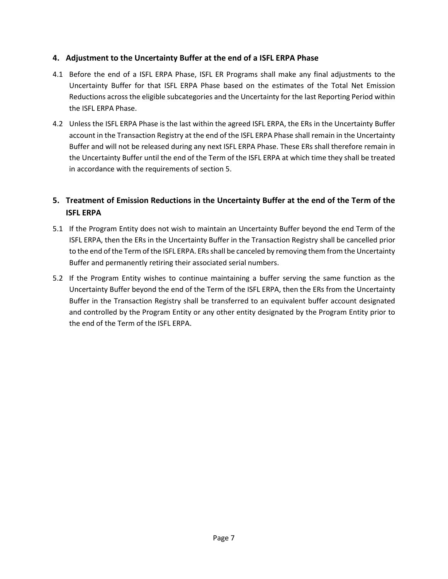### <span id="page-6-0"></span>**4. Adjustment to the Uncertainty Buffer at the end of a ISFL ERPA Phase**

- 4.1 Before the end of a ISFL ERPA Phase, ISFL ER Programs shall make any final adjustments to the Uncertainty Buffer for that ISFL ERPA Phase based on the estimates of the Total Net Emission Reductions across the eligible subcategories and the Uncertainty for the last Reporting Period within the ISFL ERPA Phase.
- 4.2 Unless the ISFL ERPA Phase is the last within the agreed ISFL ERPA, the ERs in the Uncertainty Buffer account in the Transaction Registry at the end of the ISFL ERPA Phase shall remain in the Uncertainty Buffer and will not be released during any next ISFL ERPA Phase. These ERs shall therefore remain in the Uncertainty Buffer until the end of the Term of the ISFL ERPA at which time they shall be treated in accordance with the requirements of section 5.

## <span id="page-6-1"></span>**5. Treatment of Emission Reductions in the Uncertainty Buffer at the end of the Term of the ISFL ERPA**

- 5.1 If the Program Entity does not wish to maintain an Uncertainty Buffer beyond the end Term of the ISFL ERPA, then the ERs in the Uncertainty Buffer in the Transaction Registry shall be cancelled prior to the end of the Term of the ISFL ERPA. ERs shall be canceled by removing them from the Uncertainty Buffer and permanently retiring their associated serial numbers.
- 5.2 If the Program Entity wishes to continue maintaining a buffer serving the same function as the Uncertainty Buffer beyond the end of the Term of the ISFL ERPA, then the ERs from the Uncertainty Buffer in the Transaction Registry shall be transferred to an equivalent buffer account designated and controlled by the Program Entity or any other entity designated by the Program Entity prior to the end of the Term of the ISFL ERPA.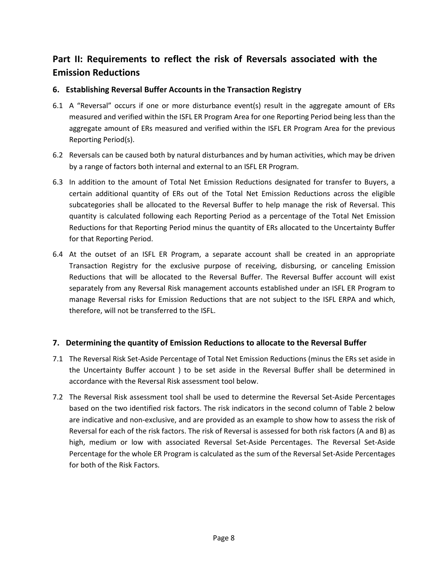## <span id="page-7-0"></span>**Part II: Requirements to reflect the risk of Reversals associated with the Emission Reductions**

## <span id="page-7-1"></span>**6. Establishing Reversal Buffer Accounts in the Transaction Registry**

- 6.1 A "Reversal" occurs if one or more disturbance event(s) result in the aggregate amount of ERs measured and verified within the ISFL ER Program Area for one Reporting Period being less than the aggregate amount of ERs measured and verified within the ISFL ER Program Area for the previous Reporting Period(s).
- 6.2 Reversals can be caused both by natural disturbances and by human activities, which may be driven by a range of factors both internal and external to an ISFL ER Program.
- 6.3 In addition to the amount of Total Net Emission Reductions designated for transfer to Buyers, a certain additional quantity of ERs out of the Total Net Emission Reductions across the eligible subcategories shall be allocated to the Reversal Buffer to help manage the risk of Reversal. This quantity is calculated following each Reporting Period as a percentage of the Total Net Emission Reductions for that Reporting Period minus the quantity of ERs allocated to the Uncertainty Buffer for that Reporting Period.
- 6.4 At the outset of an ISFL ER Program, a separate account shall be created in an appropriate Transaction Registry for the exclusive purpose of receiving, disbursing, or canceling Emission Reductions that will be allocated to the Reversal Buffer. The Reversal Buffer account will exist separately from any Reversal Risk management accounts established under an ISFL ER Program to manage Reversal risks for Emission Reductions that are not subject to the ISFL ERPA and which, therefore, will not be transferred to the ISFL.

## <span id="page-7-2"></span>**7. Determining the quantity of Emission Reductions to allocate to the Reversal Buffer**

- 7.1 The Reversal Risk Set-Aside Percentage of Total Net Emission Reductions (minus the ERs set aside in the Uncertainty Buffer account ) to be set aside in the Reversal Buffer shall be determined in accordance with the Reversal Risk assessment tool below.
- 7.2 The Reversal Risk assessment tool shall be used to determine the Reversal Set-Aside Percentages based on the two identified risk factors. The risk indicators in the second column of Table 2 below are indicative and non-exclusive, and are provided as an example to show how to assess the risk of Reversal for each of the risk factors. The risk of Reversal is assessed for both risk factors (A and B) as high, medium or low with associated Reversal Set-Aside Percentages. The Reversal Set-Aside Percentage for the whole ER Program is calculated as the sum of the Reversal Set-Aside Percentages for both of the Risk Factors.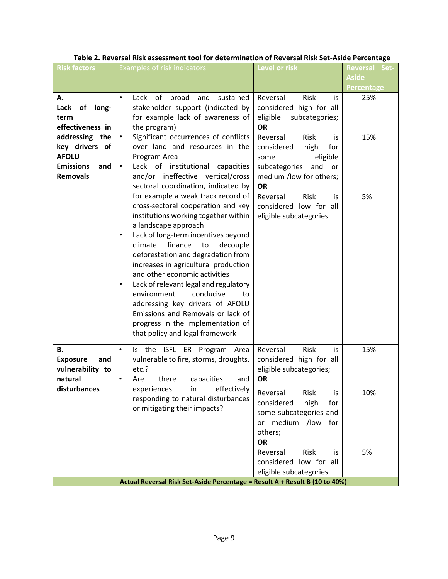| <b>Risk factors</b>                                                                                                                                  | <b>Examples of risk indicators</b>                                                                                                                                                                                                                                                                                                                                                                                                                                                                                                                                                          | Level or risk                                                                                                                                                                                                                                      | <b>Reversal Set-</b>       |
|------------------------------------------------------------------------------------------------------------------------------------------------------|---------------------------------------------------------------------------------------------------------------------------------------------------------------------------------------------------------------------------------------------------------------------------------------------------------------------------------------------------------------------------------------------------------------------------------------------------------------------------------------------------------------------------------------------------------------------------------------------|----------------------------------------------------------------------------------------------------------------------------------------------------------------------------------------------------------------------------------------------------|----------------------------|
|                                                                                                                                                      |                                                                                                                                                                                                                                                                                                                                                                                                                                                                                                                                                                                             |                                                                                                                                                                                                                                                    | Aside<br><b>Percentage</b> |
| Α.<br>Lack<br>of long-<br>term<br>effectiveness in<br>addressing the<br>key drivers of<br><b>AFOLU</b><br><b>Emissions</b><br>and<br><b>Removals</b> | Lack of<br>broad<br>and<br>sustained<br>stakeholder support (indicated by<br>for example lack of awareness of<br>the program)<br>Significant occurrences of conflicts<br>$\bullet$<br>over land and resources in the<br>Program Area<br>Lack of institutional<br>capacities<br>and/or ineffective vertical/cross<br>sectoral coordination, indicated by                                                                                                                                                                                                                                     | Reversal<br>Risk<br>is<br>considered high for all<br>eligible<br>subcategories;<br><b>OR</b><br>Reversal<br><b>Risk</b><br>is.<br>for<br>considered<br>high<br>eligible<br>some<br>subcategories<br>and or<br>medium /low for others;<br><b>OR</b> | 25%<br>15%                 |
|                                                                                                                                                      | for example a weak track record of<br>cross-sectoral cooperation and key<br>institutions working together within<br>a landscape approach<br>Lack of long-term incentives beyond<br>$\bullet$<br>finance<br>to<br>decouple<br>climate<br>deforestation and degradation from<br>increases in agricultural production<br>and other economic activities<br>Lack of relevant legal and regulatory<br>$\bullet$<br>environment<br>conducive<br>to<br>addressing key drivers of AFOLU<br>Emissions and Removals or lack of<br>progress in the implementation of<br>that policy and legal framework | Reversal<br>Risk<br>is<br>considered low for all<br>eligible subcategories                                                                                                                                                                         | 5%                         |
| В.<br><b>Exposure</b><br>and<br>vulnerability to<br>natural                                                                                          | Is the ISFL ER Program Area<br>$\bullet$<br>vulnerable to fire, storms, droughts,<br>etc.?<br>there<br>Are<br>capacities<br>and                                                                                                                                                                                                                                                                                                                                                                                                                                                             | Reversal<br>Risk<br>is.<br>considered high for all<br>eligible subcategories;<br><b>OR</b>                                                                                                                                                         | 15%                        |
| disturbances                                                                                                                                         | effectively<br>experiences<br>in.<br>responding to natural disturbances<br>or mitigating their impacts?                                                                                                                                                                                                                                                                                                                                                                                                                                                                                     | Reversal<br>Risk<br>IS<br>considered<br>high<br>for<br>some subcategories and<br>or medium /low<br>for<br>others;<br>OR                                                                                                                            | 10%                        |
|                                                                                                                                                      | Actual Reversal Risk Set-Aside Percentage = Result A + Result B (10 to 40%)                                                                                                                                                                                                                                                                                                                                                                                                                                                                                                                 | Reversal<br>Risk<br>is<br>considered low for all<br>eligible subcategories                                                                                                                                                                         | 5%                         |

## **Table 2. Reversal Risk assessment tool for determination of Reversal Risk Set-Aside Percentage**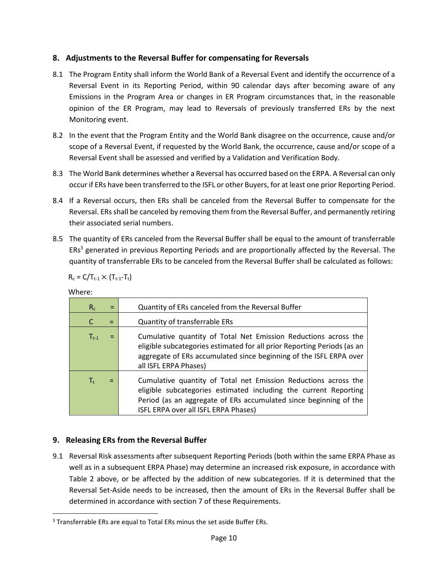## <span id="page-9-0"></span>**8. Adjustments to the Reversal Buffer for compensating for Reversals**

- 8.1 The Program Entity shall inform the World Bank of a Reversal Event and identify the occurrence of a Reversal Event in its Reporting Period, within 90 calendar days after becoming aware of any Emissions in the Program Area or changes in ER Program circumstances that, in the reasonable opinion of the ER Program, may lead to Reversals of previously transferred ERs by the next Monitoring event.
- 8.2 In the event that the Program Entity and the World Bank disagree on the occurrence, cause and/or scope of a Reversal Event, if requested by the World Bank, the occurrence, cause and/or scope of a Reversal Event shall be assessed and verified by a Validation and Verification Body.
- 8.3 The World Bank determines whether a Reversal has occurred based on the ERPA. A Reversal can only occur if ERs have been transferred to the ISFL or other Buyers, for at least one prior Reporting Period.
- 8.4 If a Reversal occurs, then ERs shall be canceled from the Reversal Buffer to compensate for the Reversal. ERs shall be canceled by removing them from the Reversal Buffer, and permanently retiring their associated serial numbers.
- 8.5 The quantity of ERs canceled from the Reversal Buffer shall be equal to the amount of transferrable ERs<sup>3</sup> generated in previous Reporting Periods and are proportionally affected by the Reversal. The quantity of transferrable ERs to be canceled from the Reversal Buffer shall be calculated as follows:

 $R_c = C/T_{t-1} \times (T_{t-1}-T_t)$ 

| Where |  |
|-------|--|
|-------|--|

| $R_c$       | $=$ | Quantity of ERs canceled from the Reversal Buffer                                                                                                                                                                                                |
|-------------|-----|--------------------------------------------------------------------------------------------------------------------------------------------------------------------------------------------------------------------------------------------------|
| C           | $=$ | Quantity of transferrable ERs                                                                                                                                                                                                                    |
| $T_{t-1}$   | $=$ | Cumulative quantity of Total Net Emission Reductions across the<br>eligible subcategories estimated for all prior Reporting Periods (as an<br>aggregate of ERs accumulated since beginning of the ISFL ERPA over<br>all ISFL ERPA Phases)        |
| $T_{\rm t}$ | Ξ   | Cumulative quantity of Total net Emission Reductions across the<br>eligible subcategories estimated including the current Reporting<br>Period (as an aggregate of ERs accumulated since beginning of the<br>ISFL ERPA over all ISFL ERPA Phases) |

## <span id="page-9-1"></span>**9. Releasing ERs from the Reversal Buffer**

9.1 Reversal Risk assessments after subsequent Reporting Periods (both within the same ERPA Phase as well as in a subsequent ERPA Phase) may determine an increased risk exposure, in accordance with Table 2 above, or be affected by the addition of new subcategories. If it is determined that the Reversal Set-Aside needs to be increased, then the amount of ERs in the Reversal Buffer shall be determined in accordance with section 7 of these Requirements.

<sup>3</sup> Transferrable ERs are equal to Total ERs minus the set aside Buffer ERs.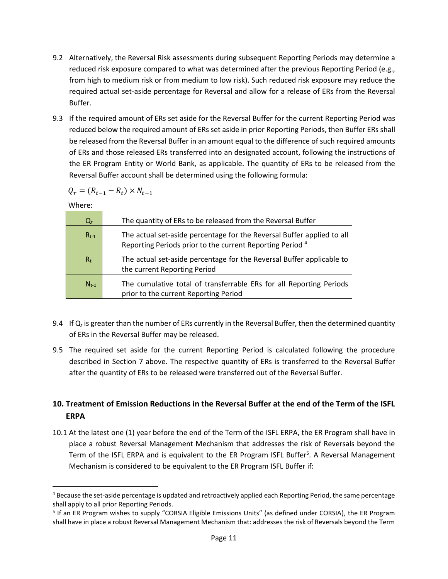- 9.2 Alternatively, the Reversal Risk assessments during subsequent Reporting Periods may determine a reduced risk exposure compared to what was determined after the previous Reporting Period (e.g., from high to medium risk or from medium to low risk). Such reduced risk exposure may reduce the required actual set-aside percentage for Reversal and allow for a release of ERs from the Reversal Buffer.
- 9.3 If the required amount of ERs set aside for the Reversal Buffer for the current Reporting Period was reduced below the required amount of ERs set aside in prior Reporting Periods, then Buffer ERs shall be released from the Reversal Buffer in an amount equal to the difference of such required amounts of ERs and those released ERs transferred into an designated account, following the instructions of the ER Program Entity or World Bank, as applicable. The quantity of ERs to be released from the Reversal Buffer account shall be determined using the following formula:

$$
Q_r = (R_{t-1} - R_t) \times N_{t-1}
$$

Where:

| $Q_{r}$   | The quantity of ERs to be released from the Reversal Buffer                                                                                    |
|-----------|------------------------------------------------------------------------------------------------------------------------------------------------|
| $R_{t-1}$ | The actual set-aside percentage for the Reversal Buffer applied to all<br>Reporting Periods prior to the current Reporting Period <sup>4</sup> |
| $R_t$     | The actual set-aside percentage for the Reversal Buffer applicable to<br>the current Reporting Period                                          |
| $N_{t-1}$ | The cumulative total of transferrable ERs for all Reporting Periods<br>prior to the current Reporting Period                                   |

- 9.4 If Q<sub>r</sub> is greater than the number of ERs currently in the Reversal Buffer, then the determined quantity of ERs in the Reversal Buffer may be released.
- 9.5 The required set aside for the current Reporting Period is calculated following the procedure described in Section 7 above. The respective quantity of ERs is transferred to the Reversal Buffer after the quantity of ERs to be released were transferred out of the Reversal Buffer.

## <span id="page-10-0"></span>**10. Treatment of Emission Reductions in the Reversal Buffer at the end of the Term of the ISFL ERPA**

10.1 At the latest one (1) year before the end of the Term of the ISFL ERPA, the ER Program shall have in place a robust Reversal Management Mechanism that addresses the risk of Reversals beyond the Term of the ISFL ERPA and is equivalent to the ER Program ISFL Buffer<sup>5</sup>. A Reversal Management Mechanism is considered to be equivalent to the ER Program ISFL Buffer if:

<sup>&</sup>lt;sup>4</sup> Because the set-aside percentage is updated and retroactively applied each Reporting Period, the same percentage shall apply to all prior Reporting Periods.

<sup>&</sup>lt;sup>5</sup> If an ER Program wishes to supply "CORSIA Eligible Emissions Units" (as defined under CORSIA), the ER Program shall have in place a robust Reversal Management Mechanism that: addresses the risk of Reversals beyond the Term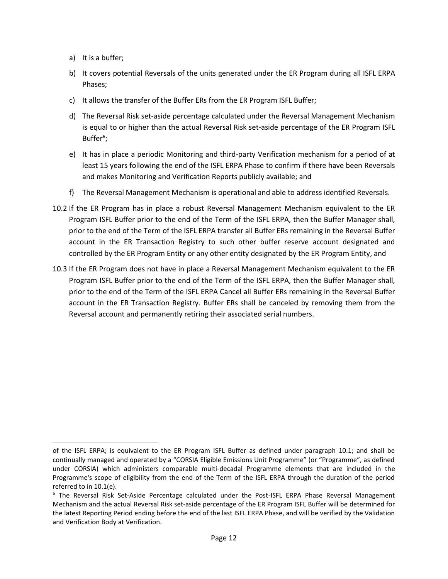- a) It is a buffer;
- b) It covers potential Reversals of the units generated under the ER Program during all ISFL ERPA Phases;
- c) It allows the transfer of the Buffer ERs from the ER Program ISFL Buffer;
- d) The Reversal Risk set-aside percentage calculated under the Reversal Management Mechanism is equal to or higher than the actual Reversal Risk set-aside percentage of the ER Program ISFL Buffer<sup>6</sup>;
- e) It has in place a periodic Monitoring and third-party Verification mechanism for a period of at least 15 years following the end of the ISFL ERPA Phase to confirm if there have been Reversals and makes Monitoring and Verification Reports publicly available; and
- f) The Reversal Management Mechanism is operational and able to address identified Reversals.
- 10.2 If the ER Program has in place a robust Reversal Management Mechanism equivalent to the ER Program ISFL Buffer prior to the end of the Term of the ISFL ERPA, then the Buffer Manager shall, prior to the end of the Term of the ISFL ERPA transfer all Buffer ERs remaining in the Reversal Buffer account in the ER Transaction Registry to such other buffer reserve account designated and controlled by the ER Program Entity or any other entity designated by the ER Program Entity, and
- 10.3 If the ER Program does not have in place a Reversal Management Mechanism equivalent to the ER Program ISFL Buffer prior to the end of the Term of the ISFL ERPA, then the Buffer Manager shall, prior to the end of the Term of the ISFL ERPA Cancel all Buffer ERs remaining in the Reversal Buffer account in the ER Transaction Registry. Buffer ERs shall be canceled by removing them from the Reversal account and permanently retiring their associated serial numbers.

of the ISFL ERPA; is equivalent to the ER Program ISFL Buffer as defined under paragraph 10.1; and shall be continually managed and operated by a "CORSIA Eligible Emissions Unit Programme" (or "Programme", as defined under CORSIA) which administers comparable multi-decadal Programme elements that are included in the Programme's scope of eligibility from the end of the Term of the ISFL ERPA through the duration of the period referred to in 10.1(e).

<sup>6</sup> The Reversal Risk Set-Aside Percentage calculated under the Post-ISFL ERPA Phase Reversal Management Mechanism and the actual Reversal Risk set-aside percentage of the ER Program ISFL Buffer will be determined for the latest Reporting Period ending before the end of the last ISFL ERPA Phase, and will be verified by the Validation and Verification Body at Verification.